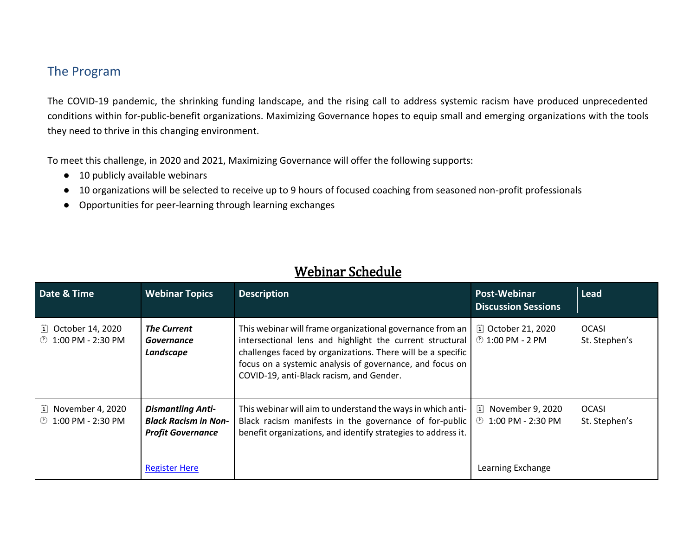## The Program

The COVID-19 pandemic, the shrinking funding landscape, and the rising call to address systemic racism have produced unprecedented conditions within for-public-benefit organizations. Maximizing Governance hopes to equip small and emerging organizations with the tools they need to thrive in this changing environment.

To meet this challenge, in 2020 and 2021, Maximizing Governance will offer the following supports:

- 10 publicly available webinars
- 10 organizations will be selected to receive up to 9 hours of focused coaching from seasoned non-profit professionals
- Opportunities for peer-learning through learning exchanges

| Date & Time                                         | <b>Webinar Topics</b>                                                                                       | <b>Description</b>                                                                                                                                                                                                                                                                           | Post-Webinar<br><b>Discussion Sessions</b>                                                  | <b>Lead</b>                   |
|-----------------------------------------------------|-------------------------------------------------------------------------------------------------------------|----------------------------------------------------------------------------------------------------------------------------------------------------------------------------------------------------------------------------------------------------------------------------------------------|---------------------------------------------------------------------------------------------|-------------------------------|
| October 14, 2020<br> 1 <br>1:00 PM - 2:30 PM<br>(Y) | <b>The Current</b><br><b>Governance</b><br>Landscape                                                        | This webinar will frame organizational governance from an<br>intersectional lens and highlight the current structural<br>challenges faced by organizations. There will be a specific<br>focus on a systemic analysis of governance, and focus on<br>COVID-19, anti-Black racism, and Gender. | [1] October 21, 2020<br>$\circled{1:}$ 1:00 PM - 2 PM                                       | <b>OCASI</b><br>St. Stephen's |
| November 4, 2020<br> 1 <br>1:00 PM - 2:30 PM<br>(1) | <b>Dismantling Anti-</b><br><b>Black Racism in Non-</b><br><b>Profit Governance</b><br><b>Register Here</b> | This webinar will aim to understand the ways in which anti-<br>Black racism manifests in the governance of for-public<br>benefit organizations, and identify strategies to address it.                                                                                                       | November 9, 2020<br>$ \mathbf{i} $<br>$\circled{1:}$ 1:00 PM - 2:30 PM<br>Learning Exchange | <b>OCASI</b><br>St. Stephen's |

## Webinar Schedule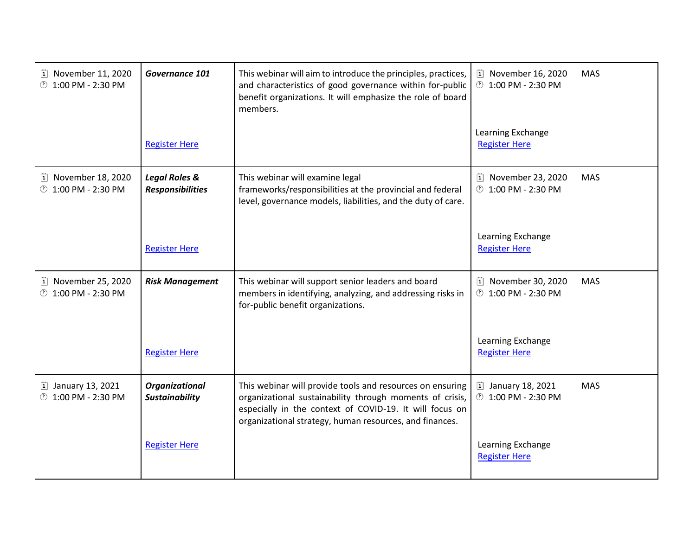| [1] November 11, 2020<br><b>1:00 PM - 2:30 PM</b> | Governance 101                                      | This webinar will aim to introduce the principles, practices,<br>and characteristics of good governance within for-public<br>benefit organizations. It will emphasize the role of board<br>members.                                         | [1] November 16, 2020<br><b>1:00 PM - 2:30 PM</b> | <b>MAS</b> |
|---------------------------------------------------|-----------------------------------------------------|---------------------------------------------------------------------------------------------------------------------------------------------------------------------------------------------------------------------------------------------|---------------------------------------------------|------------|
|                                                   | <b>Register Here</b>                                |                                                                                                                                                                                                                                             | Learning Exchange<br><b>Register Here</b>         |            |
| [1] November 18, 2020<br><b>1:00 PM - 2:30 PM</b> | <b>Legal Roles &amp;</b><br><b>Responsibilities</b> | This webinar will examine legal<br>frameworks/responsibilities at the provincial and federal<br>level, governance models, liabilities, and the duty of care.                                                                                | [1] November 23, 2020<br><b>1:00 PM - 2:30 PM</b> | <b>MAS</b> |
|                                                   | <b>Register Here</b>                                |                                                                                                                                                                                                                                             | Learning Exchange<br><b>Register Here</b>         |            |
| [1] November 25, 2020<br><b>1:00 PM - 2:30 PM</b> | <b>Risk Management</b>                              | This webinar will support senior leaders and board<br>members in identifying, analyzing, and addressing risks in<br>for-public benefit organizations.                                                                                       | [1] November 30, 2020<br><b>1:00 PM - 2:30 PM</b> | <b>MAS</b> |
|                                                   | <b>Register Here</b>                                |                                                                                                                                                                                                                                             | Learning Exchange<br><b>Register Here</b>         |            |
| [1] January 13, 2021<br><b>1:00 PM - 2:30 PM</b>  | Organizational<br><b>Sustainability</b>             | This webinar will provide tools and resources on ensuring<br>organizational sustainability through moments of crisis,<br>especially in the context of COVID-19. It will focus on<br>organizational strategy, human resources, and finances. | [1] January 18, 2021<br><b>1:00 PM - 2:30 PM</b>  | <b>MAS</b> |
|                                                   | <b>Register Here</b>                                |                                                                                                                                                                                                                                             | Learning Exchange<br><b>Register Here</b>         |            |